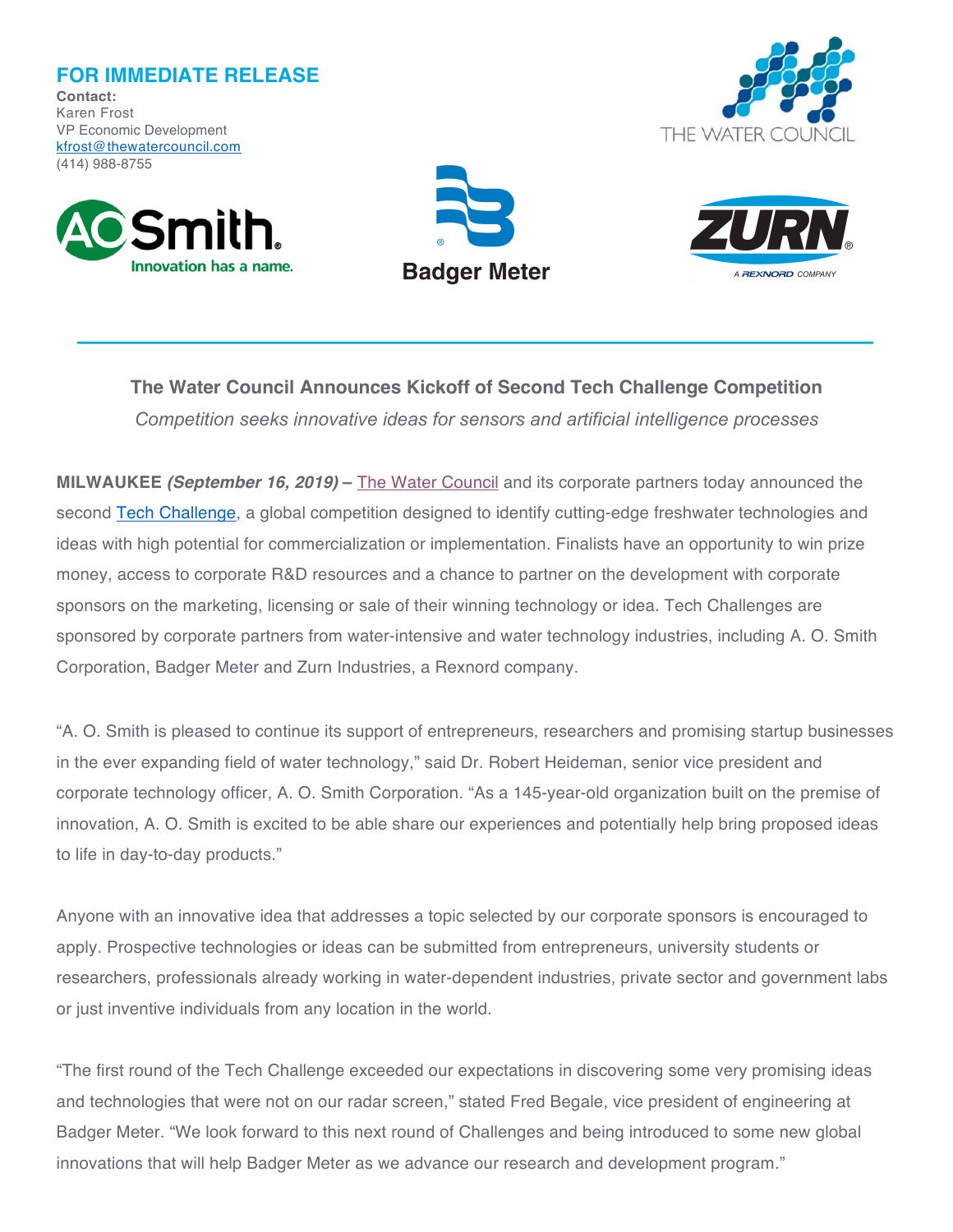**FOR IMMEDIATE RELEASE Contact:** Karen Frost VP Economic Development kfrost@thewatercouncil.com (414) 988-8755









**The Water Council Announces Kickoff of Second Tech Challenge Competition** *Competition seeks innovative ideas for sensors and artificial intelligence processes*

**MILWAUKEE** *(September 16, 2019)* **–** The Water Council and its corporate partners today announced the second Tech Challenge, a global competition designed to identify cutting-edge freshwater technologies and ideas with high potential for commercialization or implementation. Finalists have an opportunity to win prize money, access to corporate R&D resources and a chance to partner on the development with corporate sponsors on the marketing, licensing or sale of their winning technology or idea. Tech Challenges are sponsored by corporate partners from water-intensive and water technology industries, including A. O. Smith Corporation, Badger Meter and Zurn Industries, a Rexnord company.

"A. O. Smith is pleased to continue its support of entrepreneurs, researchers and promising startup businesses in the ever expanding field of water technology," said Dr. Robert Heideman, senior vice president and corporate technology officer, A. O. Smith Corporation. "As a 145-year-old organization built on the premise of innovation, A. O. Smith is excited to be able share our experiences and potentially help bring proposed ideas to life in day-to-day products."

Anyone with an innovative idea that addresses a topic selected by our corporate sponsors is encouraged to apply. Prospective technologies or ideas can be submitted from entrepreneurs, university students or researchers, professionals already working in water-dependent industries, private sector and government labs or just inventive individuals from any location in the world.

"The first round of the Tech Challenge exceeded our expectations in discovering some very promising ideas and technologies that were not on our radar screen," stated Fred Begale, vice president of engineering at Badger Meter. "We look forward to this next round of Challenges and being introduced to some new global innovations that will help Badger Meter as we advance our research and development program."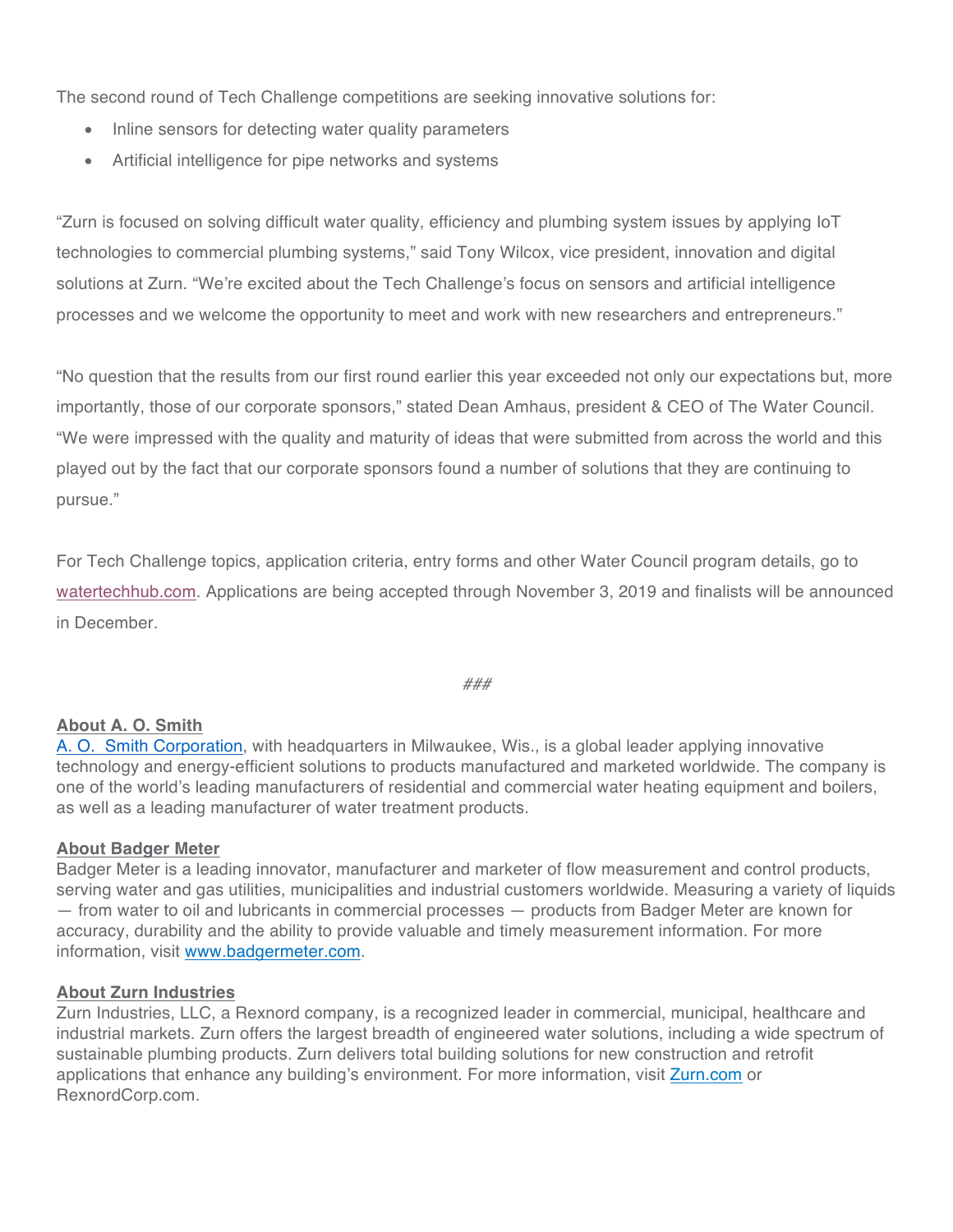The second round of Tech Challenge competitions are seeking innovative solutions for:

- Inline sensors for detecting water quality parameters
- Artificial intelligence for pipe networks and systems

"Zurn is focused on solving difficult water quality, efficiency and plumbing system issues by applying IoT technologies to commercial plumbing systems," said Tony Wilcox, vice president, innovation and digital solutions at Zurn. "We're excited about the Tech Challenge's focus on sensors and artificial intelligence processes and we welcome the opportunity to meet and work with new researchers and entrepreneurs."

"No question that the results from our first round earlier this year exceeded not only our expectations but, more importantly, those of our corporate sponsors," stated Dean Amhaus, president & CEO of The Water Council. "We were impressed with the quality and maturity of ideas that were submitted from across the world and this played out by the fact that our corporate sponsors found a number of solutions that they are continuing to pursue."

For Tech Challenge topics, application criteria, entry forms and other Water Council program details, go to watertechhub.com. Applications are being accepted through November 3, 2019 and finalists will be announced in December.

*###*

### **About A. O. Smith**

A. O. Smith Corporation, with headquarters in Milwaukee, Wis., is a global leader applying innovative technology and energy-efficient solutions to products manufactured and marketed worldwide. The company is one of the world's leading manufacturers of residential and commercial water heating equipment and boilers, as well as a leading manufacturer of water treatment products.

### **About Badger Meter**

Badger Meter is a leading innovator, manufacturer and marketer of flow measurement and control products, serving water and gas utilities, municipalities and industrial customers worldwide. Measuring a variety of liquids — from water to oil and lubricants in commercial processes — products from Badger Meter are known for accuracy, durability and the ability to provide valuable and timely measurement information. For more information, visit www.badgermeter.com.

### **About Zurn Industries**

Zurn Industries, LLC, a Rexnord company, is a recognized leader in commercial, municipal, healthcare and industrial markets. Zurn offers the largest breadth of engineered water solutions, including a wide spectrum of sustainable plumbing products. Zurn delivers total building solutions for new construction and retrofit applications that enhance any building's environment. For more information, visit Zurn.com or RexnordCorp.com.